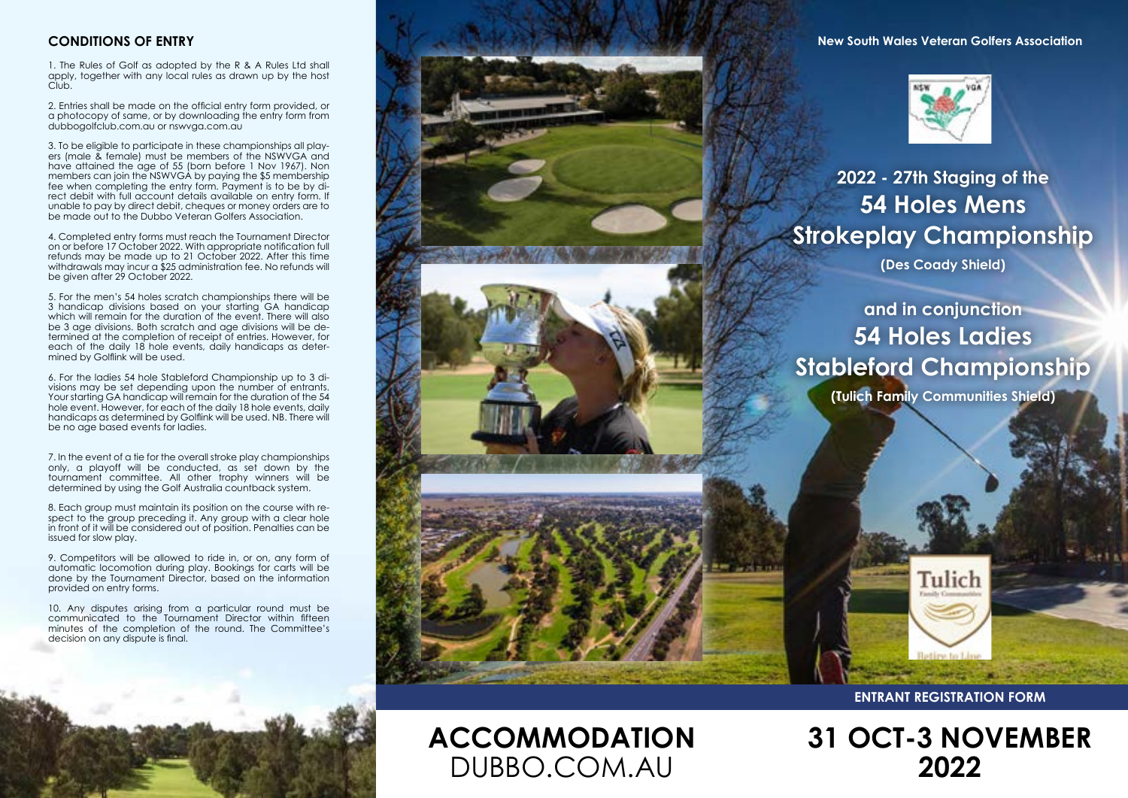#### **CONDITIONS OF ENTRY**

1. The Rules of Golf as adopted by the R & A Rules Ltd shall apply, together with any local rules as drawn up by the host Club.

2. Entries shall be made on the official entry form provided, or a photocopy of same, or by downloading the entry form from dubbogolfclub.com.au or nswvga.com.au

3. To be eligible to participate in these championships all players (male & female) must be members of the NSWVGA and have attained the age of 55 (born before 1 Nov 1967). Non members can join the NSWVGA by paying the \$5 membership fee when completing the entry form. Payment is to be by di-rect debit with full account details available on entry form. If unable to pay by direct debit, cheques or money orders are to be made out to the Dubbo Veteran Golfers Association.

4. Completed entry forms must reach the Tournament Director on or before 17 October 2022. With appropriate notification full refunds may be made up to 21 October 2022. After this time withdrawals may incur a \$25 administration fee. No refunds will be given after 29 October 2022.

5. For the men's 54 holes scratch championships there will be 3 handicap divisions based on your starting GA handicap which will remain for the duration of the event. There will also be 3 age divisions. Both scratch and age divisions will be determined at the completion of receipt of entries. However, for each of the daily 18 hole events, daily handicaps as determined by Golflink will be used.

6. For the ladies 54 hole Stableford Championship up to 3 divisions may be set depending upon the number of entrants. Your starting GA handicap will remain for the duration of the 54 hole event. However, for each of the daily 18 hole events, daily handicaps as determined by Golflink will be used. NB. There will be no age based events for ladies.

7. In the event of a tie for the overall stroke play championships only, a playoff will be conducted, as set down by the tournament committee. All other trophy winners will be determined by using the Golf Australia countback system.

8. Each group must maintain its position on the course with respect to the group preceding it. Any group with a clear hole in front of it will be considered out of position. Penalties can be issued for slow play.

9. Competitors will be allowed to ride in, or on, any form of automatic locomotion during play. Bookings for carts will be done by the Tournament Director, based on the information provided on entry forms.

10. Any disputes arising from a particular round must be communicated to the Tournament Director within fifteen minutes of the completion of the round. The Committee's decision on any dispute is final.

**New South Wales Veteran Golfers Association**



# **2022 - 27th Staging of the 54 Holes Mens Strokeplay Championship**

**(Des Coady Shield)**

**and in conjunction 54 Holes Ladies Stableford Championship**

**(Tulich Family Communities Shield)**



**ACCOMMODATION**

DUBBO.COM.AU

**ENTRANT REGISTRATION FORM**

Tulich

**31 OCT-3 NOVEMBER 2022**